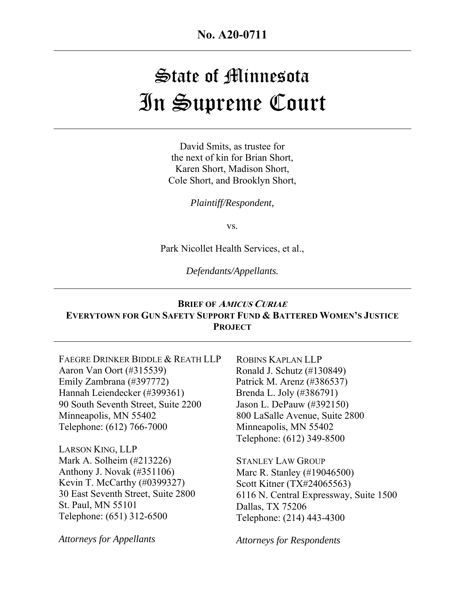**No. A20-0711** 

# State of Minnesota In Supreme Court

David Smits, as trustee for the next of kin for Brian Short, Karen Short, Madison Short, Cole Short, and Brooklyn Short,

*Plaintiff/Respondent,* 

vs.

Park Nicollet Health Services, et al.,

*Defendants/Appellants.* 

#### **BRIEF OF <sup>A</sup>MICUS CURIAE EVERYTOWN FOR GUN SAFETY SUPPORT FUND & BATTERED WOMEN'S JUSTICE PROJECT**

FAEGRE DRINKER BIDDLE & REATH LLP Aaron Van Oort (#315539) Emily Zambrana (#397772) Hannah Leiendecker (#399361) 90 South Seventh Street, Suite 2200 Minneapolis, MN 55402 Telephone: (612) 766-7000

LARSON KING, LLP Mark A. Solheim (#213226) Anthony J. Novak (#351106) Kevin T. McCarthy (#0399327) 30 East Seventh Street, Suite 2800 St. Paul, MN 55101 Telephone: (651) 312-6500

*Attorneys for Appellants*

ROBINS KAPLAN LLP Ronald J. Schutz (#130849) Patrick M. Arenz (#386537) Brenda L. Joly (#386791) Jason L. DePauw (#392150) 800 LaSalle Avenue, Suite 2800 Minneapolis, MN 55402 Telephone: (612) 349-8500

STANLEY LAW GROUP Marc R. Stanley (#19046500) Scott Kitner (TX#24065563) 6116 N. Central Expressway, Suite 1500 Dallas, TX 75206 Telephone: (214) 443-4300

*Attorneys for Respondents*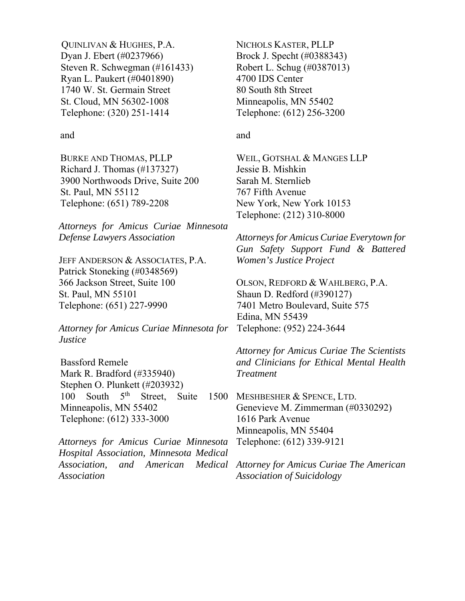QUINLIVAN & HUGHES, P.A. Dyan J. Ebert (#0237966) Steven R. Schwegman (#161433) Ryan L. Paukert (#0401890) 1740 W. St. Germain Street St. Cloud, MN 56302-1008 Telephone: (320) 251-1414

#### and

BURKE AND THOMAS, PLLP Richard J. Thomas (#137327) 3900 Northwoods Drive, Suite 200 St. Paul, MN 55112 Telephone: (651) 789-2208

*Attorneys for Amicus Curiae Minnesota Defense Lawyers Association* 

JEFF ANDERSON & ASSOCIATES, P.A. Patrick Stoneking (#0348569) 366 Jackson Street, Suite 100 St. Paul, MN 55101 Telephone: (651) 227-9990

*Attorney for Amicus Curiae Minnesota for Justice* 

Bassford Remele Mark R. Bradford (#335940) Stephen O. Plunkett (#203932) 100 South  $5<sup>th</sup>$  Street, Suite Minneapolis, MN 55402 Telephone: (612) 333-3000

*Attorneys for Amicus Curiae Minnesota Hospital Association, Minnesota Medical Association, and American Medical Association* 

NICHOLS KASTER, PLLP Brock J. Specht (#0388343) Robert L. Schug (#0387013) 4700 IDS Center 80 South 8th Street Minneapolis, MN 55402 Telephone: (612) 256-3200

#### and

WEIL, GOTSHAL & MANGES LLP Jessie B. Mishkin Sarah M. Sternlieb 767 Fifth Avenue New York, New York 10153 Telephone: (212) 310-8000

*Attorneys for Amicus Curiae Everytown for Gun Safety Support Fund & Battered Women's Justice Project* 

OLSON, REDFORD & WAHLBERG, P.A. Shaun D. Redford (#390127) 7401 Metro Boulevard, Suite 575 Edina, MN 55439 Telephone: (952) 224-3644

*Attorney for Amicus Curiae The Scientists and Clinicians for Ethical Mental Health Treatment* 

1500 MESHBESHER & SPENCE, LTD. Genevieve M. Zimmerman (#0330292) 1616 Park Avenue Minneapolis, MN 55404 Telephone: (612) 339-9121

> *Attorney for Amicus Curiae The American Association of Suicidology*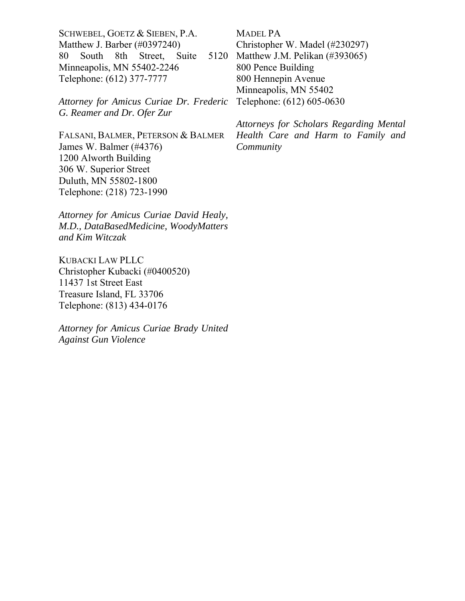SCHWEBEL, GOETZ & SIEBEN, P.A. Matthew J. Barber (#0397240) 80 South 8th Street, Suite Minneapolis, MN 55402-2246 Telephone: (612) 377-7777

*Attorney for Amicus Curiae Dr. Frederic G. Reamer and Dr. Ofer Zur* 

FALSANI, BALMER, PETERSON & BALMER James W. Balmer (#4376) 1200 Alworth Building 306 W. Superior Street Duluth, MN 55802-1800 Telephone: (218) 723-1990

*Attorney for Amicus Curiae David Healy, M.D., DataBasedMedicine, WoodyMatters and Kim Witczak* 

KUBACKI LAW PLLC Christopher Kubacki (#0400520) 11437 1st Street East Treasure Island, FL 33706 Telephone: (813) 434-0176

*Attorney for Amicus Curiae Brady United Against Gun Violence*

MADEL PA Christopher W. Madel (#230297) 5120 Matthew J.M. Pelikan (#393065) 800 Pence Building 800 Hennepin Avenue Minneapolis, MN 55402 Telephone: (612) 605-0630

> *Attorneys for Scholars Regarding Mental Health Care and Harm to Family and Community*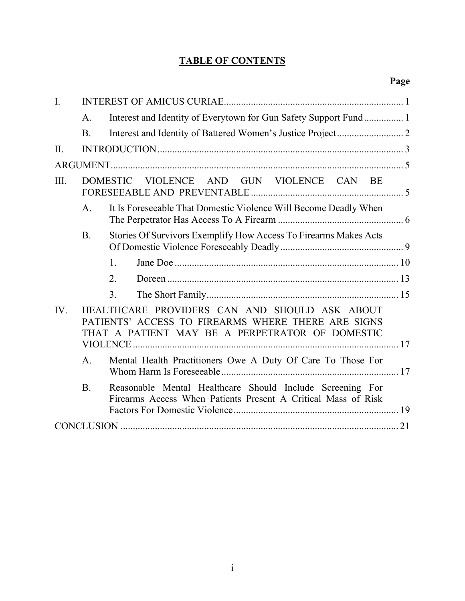# **TABLE OF CONTENTS**

| $\mathbf{I}$ . |                                                                  |                                                                                                                                                        |  |  |  |  |  |  |
|----------------|------------------------------------------------------------------|--------------------------------------------------------------------------------------------------------------------------------------------------------|--|--|--|--|--|--|
|                | Interest and Identity of Everytown for Gun Safety Support Fund 1 |                                                                                                                                                        |  |  |  |  |  |  |
|                | <b>B.</b>                                                        |                                                                                                                                                        |  |  |  |  |  |  |
| II.            |                                                                  |                                                                                                                                                        |  |  |  |  |  |  |
|                |                                                                  |                                                                                                                                                        |  |  |  |  |  |  |
| III.           |                                                                  | VIOLENCE AND GUN VIOLENCE CAN BE<br><b>DOMESTIC</b>                                                                                                    |  |  |  |  |  |  |
|                | A <sub>1</sub>                                                   | It Is Foreseeable That Domestic Violence Will Become Deadly When                                                                                       |  |  |  |  |  |  |
|                | <b>B.</b>                                                        | Stories Of Survivors Exemplify How Access To Firearms Makes Acts                                                                                       |  |  |  |  |  |  |
|                |                                                                  | $\mathbf{1}$ .                                                                                                                                         |  |  |  |  |  |  |
|                |                                                                  | 2.                                                                                                                                                     |  |  |  |  |  |  |
|                |                                                                  | 3.                                                                                                                                                     |  |  |  |  |  |  |
| IV.            |                                                                  | HEALTHCARE PROVIDERS CAN AND SHOULD ASK ABOUT<br>PATIENTS' ACCESS TO FIREARMS WHERE THERE ARE SIGNS<br>THAT A PATIENT MAY BE A PERPETRATOR OF DOMESTIC |  |  |  |  |  |  |
|                | A <sub>1</sub>                                                   | Mental Health Practitioners Owe A Duty Of Care To Those For                                                                                            |  |  |  |  |  |  |
|                | B.                                                               | Reasonable Mental Healthcare Should Include Screening For<br>Firearms Access When Patients Present A Critical Mass of Risk                             |  |  |  |  |  |  |
|                |                                                                  |                                                                                                                                                        |  |  |  |  |  |  |
|                |                                                                  |                                                                                                                                                        |  |  |  |  |  |  |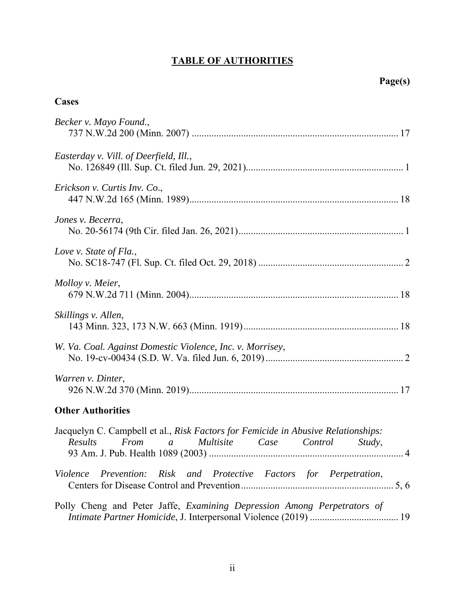# **TABLE OF AUTHORITIES**

## **Cases**

| Becker v. Mayo Found.,                                                                                                                     |
|--------------------------------------------------------------------------------------------------------------------------------------------|
| Easterday v. Vill. of Deerfield, Ill.,                                                                                                     |
| Erickson v. Curtis Inv. Co.,                                                                                                               |
| Jones v. Becerra,                                                                                                                          |
| Love v. State of Fla.,                                                                                                                     |
| Molloy v. Meier,                                                                                                                           |
| Skillings v. Allen,                                                                                                                        |
| W. Va. Coal. Against Domestic Violence, Inc. v. Morrisey,                                                                                  |
| Warren v. Dinter,                                                                                                                          |
| <b>Other Authorities</b>                                                                                                                   |
| Jacquelyn C. Campbell et al., Risk Factors for Femicide in Abusive Relationships:<br>a Multisite Case Control<br>Results<br>From<br>Study, |
| <i>Prevention:</i><br>Risk and Protective Factors for Perpetration,<br>Violence                                                            |
| Polly Cheng and Peter Jaffe, Examining Depression Among Perpetrators of                                                                    |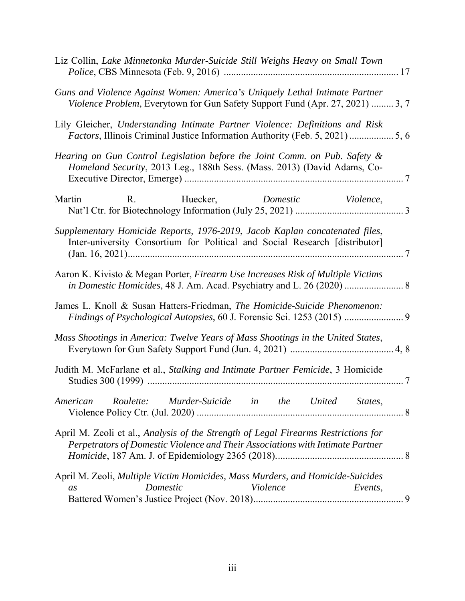|          |           | Liz Collin, Lake Minnetonka Murder-Suicide Still Weighs Heavy on Small Town                                                                                          |          |                  |
|----------|-----------|----------------------------------------------------------------------------------------------------------------------------------------------------------------------|----------|------------------|
|          |           | Guns and Violence Against Women: America's Uniquely Lethal Intimate Partner<br>Violence Problem, Everytown for Gun Safety Support Fund (Apr. 27, 2021)  3, 7         |          |                  |
|          |           | Lily Gleicher, Understanding Intimate Partner Violence: Definitions and Risk<br>Factors, Illinois Criminal Justice Information Authority (Feb. 5, 2021)  5, 6        |          |                  |
|          |           | Hearing on Gun Control Legislation before the Joint Comm. on Pub. Safety &<br>Homeland Security, 2013 Leg., 188th Sess. (Mass. 2013) (David Adams, Co-               |          |                  |
| Martin   |           | R. Huecker, Domestic                                                                                                                                                 |          | <i>Violence,</i> |
|          |           | Supplementary Homicide Reports, 1976-2019, Jacob Kaplan concatenated files,<br>Inter-university Consortium for Political and Social Research [distributor]           |          |                  |
|          |           | Aaron K. Kivisto & Megan Porter, Firearm Use Increases Risk of Multiple Victims<br>in Domestic Homicides, 48 J. Am. Acad. Psychiatry and L. 26 (2020)  8             |          |                  |
|          |           | James L. Knoll & Susan Hatters-Friedman, The Homicide-Suicide Phenomenon:                                                                                            |          |                  |
|          |           | Mass Shootings in America: Twelve Years of Mass Shootings in the United States,                                                                                      |          |                  |
|          |           | Judith M. McFarlane et al., Stalking and Intimate Partner Femicide, 3 Homicide                                                                                       |          |                  |
| American | Roulette: | Murder-Suicide in the United States,                                                                                                                                 |          |                  |
|          |           | April M. Zeoli et al., Analysis of the Strength of Legal Firearms Restrictions for<br>Perpetrators of Domestic Violence and Their Associations with Intimate Partner |          |                  |
| as       | Domestic  | April M. Zeoli, Multiple Victim Homicides, Mass Murders, and Homicide-Suicides                                                                                       | Violence | Events,          |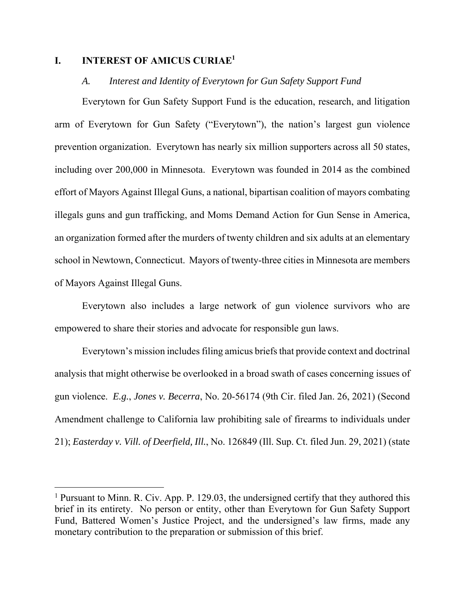#### **I. INTEREST OF AMICUS CURIAE1**

#### *A. Interest and Identity of Everytown for Gun Safety Support Fund*

Everytown for Gun Safety Support Fund is the education, research, and litigation arm of Everytown for Gun Safety ("Everytown"), the nation's largest gun violence prevention organization. Everytown has nearly six million supporters across all 50 states, including over 200,000 in Minnesota. Everytown was founded in 2014 as the combined effort of Mayors Against Illegal Guns, a national, bipartisan coalition of mayors combating illegals guns and gun trafficking, and Moms Demand Action for Gun Sense in America, an organization formed after the murders of twenty children and six adults at an elementary school in Newtown, Connecticut. Mayors of twenty-three cities in Minnesota are members of Mayors Against Illegal Guns.

Everytown also includes a large network of gun violence survivors who are empowered to share their stories and advocate for responsible gun laws.

Everytown's mission includes filing amicus briefs that provide context and doctrinal analysis that might otherwise be overlooked in a broad swath of cases concerning issues of gun violence. *E.g.*, *Jones v. Becerra*, No. 20-56174 (9th Cir. filed Jan. 26, 2021) (Second Amendment challenge to California law prohibiting sale of firearms to individuals under 21); *Easterday v. Vill. of Deerfield, Ill.*, No. 126849 (Ill. Sup. Ct. filed Jun. 29, 2021) (state

<sup>&</sup>lt;sup>1</sup> Pursuant to Minn. R. Civ. App. P. 129.03, the undersigned certify that they authored this brief in its entirety. No person or entity, other than Everytown for Gun Safety Support Fund, Battered Women's Justice Project, and the undersigned's law firms, made any monetary contribution to the preparation or submission of this brief.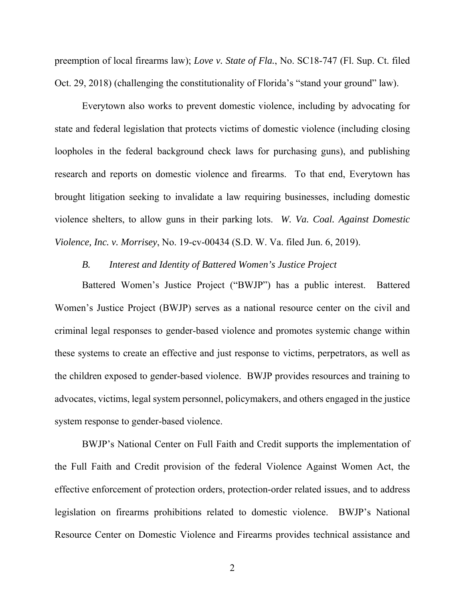preemption of local firearms law); *Love v. State of Fla.*, No. SC18-747 (Fl. Sup. Ct. filed Oct. 29, 2018) (challenging the constitutionality of Florida's "stand your ground" law).

Everytown also works to prevent domestic violence, including by advocating for state and federal legislation that protects victims of domestic violence (including closing loopholes in the federal background check laws for purchasing guns), and publishing research and reports on domestic violence and firearms. To that end, Everytown has brought litigation seeking to invalidate a law requiring businesses, including domestic violence shelters, to allow guns in their parking lots. *W. Va. Coal. Against Domestic Violence, Inc. v. Morrisey*, No. 19-cv-00434 (S.D. W. Va. filed Jun. 6, 2019).

#### *B. Interest and Identity of Battered Women's Justice Project*

Battered Women's Justice Project ("BWJP") has a public interest. Battered Women's Justice Project (BWJP) serves as a national resource center on the civil and criminal legal responses to gender-based violence and promotes systemic change within these systems to create an effective and just response to victims, perpetrators, as well as the children exposed to gender-based violence. BWJP provides resources and training to advocates, victims, legal system personnel, policymakers, and others engaged in the justice system response to gender-based violence.

BWJP's National Center on Full Faith and Credit supports the implementation of the Full Faith and Credit provision of the federal Violence Against Women Act, the effective enforcement of protection orders, protection-order related issues, and to address legislation on firearms prohibitions related to domestic violence. BWJP's National Resource Center on Domestic Violence and Firearms provides technical assistance and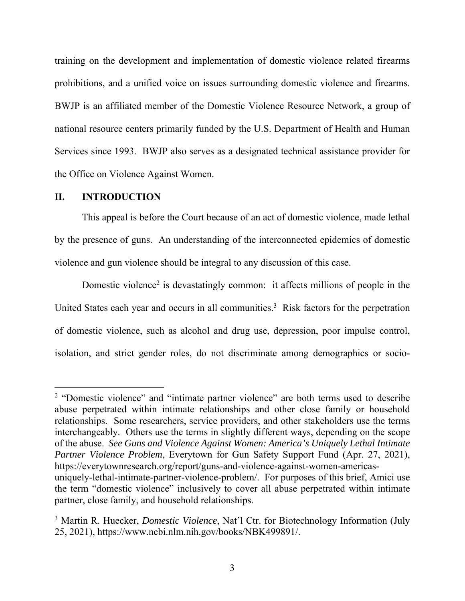training on the development and implementation of domestic violence related firearms prohibitions, and a unified voice on issues surrounding domestic violence and firearms. BWJP is an affiliated member of the Domestic Violence Resource Network, a group of national resource centers primarily funded by the U.S. Department of Health and Human Services since 1993. BWJP also serves as a designated technical assistance provider for the Office on Violence Against Women.

#### **II. INTRODUCTION**

This appeal is before the Court because of an act of domestic violence, made lethal by the presence of guns. An understanding of the interconnected epidemics of domestic violence and gun violence should be integral to any discussion of this case.

Domestic violence<sup>2</sup> is devastatingly common: it affects millions of people in the United States each year and occurs in all communities.<sup>3</sup> Risk factors for the perpetration of domestic violence, such as alcohol and drug use, depression, poor impulse control, isolation, and strict gender roles, do not discriminate among demographics or socio-

<sup>&</sup>lt;sup>2</sup> "Domestic violence" and "intimate partner violence" are both terms used to describe abuse perpetrated within intimate relationships and other close family or household relationships. Some researchers, service providers, and other stakeholders use the terms interchangeably. Others use the terms in slightly different ways, depending on the scope of the abuse. *See Guns and Violence Against Women: America's Uniquely Lethal Intimate Partner Violence Problem*, Everytown for Gun Safety Support Fund (Apr. 27, 2021), https://everytownresearch.org/report/guns-and-violence-against-women-americasuniquely-lethal-intimate-partner-violence-problem/. For purposes of this brief, Amici use the term "domestic violence" inclusively to cover all abuse perpetrated within intimate partner, close family, and household relationships.

<sup>&</sup>lt;sup>3</sup> Martin R. Huecker, *Domestic Violence*, Nat'l Ctr. for Biotechnology Information (July 25, 2021), https://www.ncbi.nlm.nih.gov/books/NBK499891/.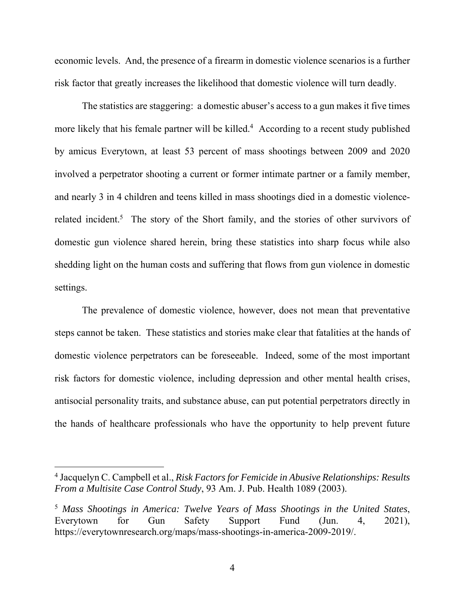economic levels. And, the presence of a firearm in domestic violence scenarios is a further risk factor that greatly increases the likelihood that domestic violence will turn deadly.

The statistics are staggering: a domestic abuser's access to a gun makes it five times more likely that his female partner will be killed.<sup>4</sup> According to a recent study published by amicus Everytown, at least 53 percent of mass shootings between 2009 and 2020 involved a perpetrator shooting a current or former intimate partner or a family member, and nearly 3 in 4 children and teens killed in mass shootings died in a domestic violencerelated incident.<sup>5</sup> The story of the Short family, and the stories of other survivors of domestic gun violence shared herein, bring these statistics into sharp focus while also shedding light on the human costs and suffering that flows from gun violence in domestic settings.

The prevalence of domestic violence, however, does not mean that preventative steps cannot be taken. These statistics and stories make clear that fatalities at the hands of domestic violence perpetrators can be foreseeable. Indeed, some of the most important risk factors for domestic violence, including depression and other mental health crises, antisocial personality traits, and substance abuse, can put potential perpetrators directly in the hands of healthcare professionals who have the opportunity to help prevent future

4

<sup>4</sup> Jacquelyn C. Campbell et al., *Risk Factors for Femicide in Abusive Relationships: Results From a Multisite Case Control Study*, 93 Am. J. Pub. Health 1089 (2003).

<sup>5</sup> *Mass Shootings in America: Twelve Years of Mass Shootings in the United States*, Everytown for Gun Safety Support Fund (Jun. 4, 2021), https://everytownresearch.org/maps/mass-shootings-in-america-2009-2019/.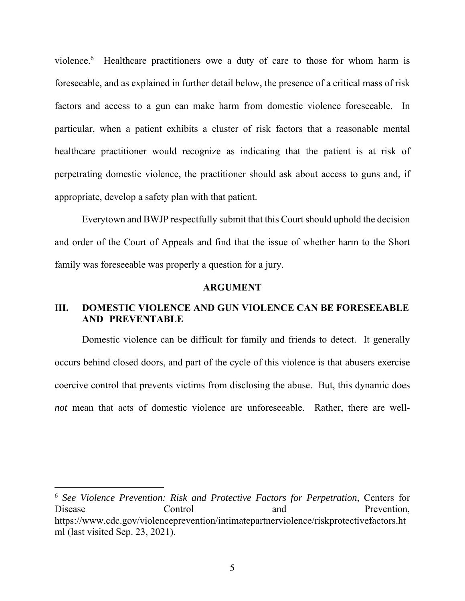violence.<sup>6</sup> Healthcare practitioners owe a duty of care to those for whom harm is foreseeable, and as explained in further detail below, the presence of a critical mass of risk factors and access to a gun can make harm from domestic violence foreseeable. In particular, when a patient exhibits a cluster of risk factors that a reasonable mental healthcare practitioner would recognize as indicating that the patient is at risk of perpetrating domestic violence, the practitioner should ask about access to guns and, if appropriate, develop a safety plan with that patient.

Everytown and BWJP respectfully submit that this Court should uphold the decision and order of the Court of Appeals and find that the issue of whether harm to the Short family was foreseeable was properly a question for a jury.

#### **ARGUMENT**

#### **III. DOMESTIC VIOLENCE AND GUN VIOLENCE CAN BE FORESEEABLE AND PREVENTABLE**

Domestic violence can be difficult for family and friends to detect. It generally occurs behind closed doors, and part of the cycle of this violence is that abusers exercise coercive control that prevents victims from disclosing the abuse. But, this dynamic does *not* mean that acts of domestic violence are unforeseeable. Rather, there are well-

<sup>6</sup> *See Violence Prevention: Risk and Protective Factors for Perpetration*, Centers for Disease Control and Prevention, https://www.cdc.gov/violenceprevention/intimatepartnerviolence/riskprotectivefactors.ht ml (last visited Sep. 23, 2021).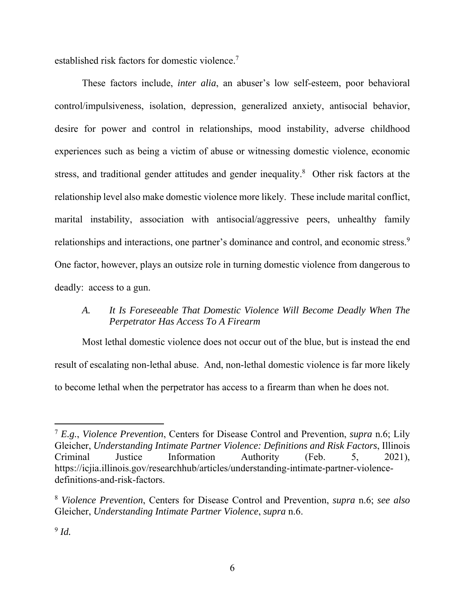established risk factors for domestic violence.<sup>7</sup>

These factors include, *inter alia*, an abuser's low self-esteem, poor behavioral control/impulsiveness, isolation, depression, generalized anxiety, antisocial behavior, desire for power and control in relationships, mood instability, adverse childhood experiences such as being a victim of abuse or witnessing domestic violence, economic stress, and traditional gender attitudes and gender inequality.<sup>8</sup> Other risk factors at the relationship level also make domestic violence more likely. These include marital conflict, marital instability, association with antisocial/aggressive peers, unhealthy family relationships and interactions, one partner's dominance and control, and economic stress.<sup>9</sup> One factor, however, plays an outsize role in turning domestic violence from dangerous to deadly: access to a gun.

### *A. It Is Foreseeable That Domestic Violence Will Become Deadly When The Perpetrator Has Access To A Firearm*

Most lethal domestic violence does not occur out of the blue, but is instead the end result of escalating non-lethal abuse. And, non-lethal domestic violence is far more likely to become lethal when the perpetrator has access to a firearm than when he does not.

<sup>7</sup> *E.g.*, *Violence Prevention*, Centers for Disease Control and Prevention, *supra* n.6; Lily Gleicher, *Understanding Intimate Partner Violence: Definitions and Risk Factors*, Illinois Criminal Justice Information Authority (Feb. 5, 2021), https://icjia.illinois.gov/researchhub/articles/understanding-intimate-partner-violencedefinitions-and-risk-factors.

<sup>8</sup> *Violence Prevention*, Centers for Disease Control and Prevention, *supra* n.6; *see also*  Gleicher, *Understanding Intimate Partner Violence*, *supra* n.6.

<sup>9</sup> *Id.*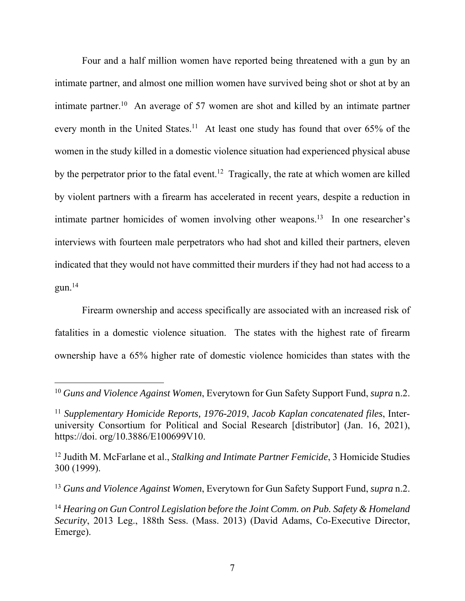Four and a half million women have reported being threatened with a gun by an intimate partner, and almost one million women have survived being shot or shot at by an intimate partner.10 An average of 57 women are shot and killed by an intimate partner every month in the United States.<sup>11</sup> At least one study has found that over 65% of the women in the study killed in a domestic violence situation had experienced physical abuse by the perpetrator prior to the fatal event.<sup>12</sup> Tragically, the rate at which women are killed by violent partners with a firearm has accelerated in recent years, despite a reduction in intimate partner homicides of women involving other weapons.13 In one researcher's interviews with fourteen male perpetrators who had shot and killed their partners, eleven indicated that they would not have committed their murders if they had not had access to a  $g$ un.<sup>14</sup>

Firearm ownership and access specifically are associated with an increased risk of fatalities in a domestic violence situation. The states with the highest rate of firearm ownership have a 65% higher rate of domestic violence homicides than states with the

<sup>10</sup> *Guns and Violence Against Women*, Everytown for Gun Safety Support Fund, *supra* n.2.

<sup>11</sup> *Supplementary Homicide Reports, 1976-2019*, *Jacob Kaplan concatenated files*, Interuniversity Consortium for Political and Social Research [distributor] (Jan. 16, 2021), https://doi. org/10.3886/E100699V10.

<sup>12</sup> Judith M. McFarlane et al., *Stalking and Intimate Partner Femicide*, 3 Homicide Studies 300 (1999).

<sup>13</sup> *Guns and Violence Against Women*, Everytown for Gun Safety Support Fund, *supra* n.2.

<sup>14</sup> *Hearing on Gun Control Legislation before the Joint Comm. on Pub. Safety & Homeland Security*, 2013 Leg., 188th Sess. (Mass. 2013) (David Adams, Co-Executive Director, Emerge).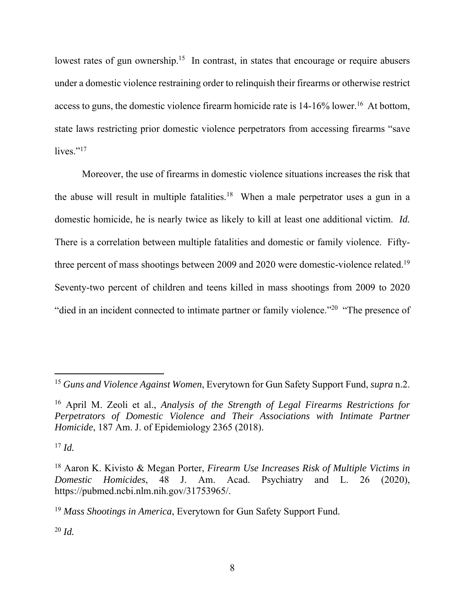lowest rates of gun ownership.<sup>15</sup> In contrast, in states that encourage or require abusers under a domestic violence restraining order to relinquish their firearms or otherwise restrict access to guns, the domestic violence firearm homicide rate is  $14-16\%$  lower.<sup>16</sup> At bottom, state laws restricting prior domestic violence perpetrators from accessing firearms "save lives." $^{17}$ 

Moreover, the use of firearms in domestic violence situations increases the risk that the abuse will result in multiple fatalities.<sup>18</sup> When a male perpetrator uses a gun in a domestic homicide, he is nearly twice as likely to kill at least one additional victim. *Id.* There is a correlation between multiple fatalities and domestic or family violence. Fiftythree percent of mass shootings between 2009 and 2020 were domestic-violence related.<sup>19</sup> Seventy-two percent of children and teens killed in mass shootings from 2009 to 2020 "died in an incident connected to intimate partner or family violence."<sup>20</sup> "The presence of

 $^{20}$  *Id.* 

<sup>15</sup> *Guns and Violence Against Women*, Everytown for Gun Safety Support Fund, *supra* n.2.

<sup>16</sup> April M. Zeoli et al., *Analysis of the Strength of Legal Firearms Restrictions for Perpetrators of Domestic Violence and Their Associations with Intimate Partner Homicide*, 187 Am. J. of Epidemiology 2365 (2018).

 $17$  *Id.* 

<sup>18</sup> Aaron K. Kivisto & Megan Porter, *Firearm Use Increases Risk of Multiple Victims in Domestic Homicides*, 48 J. Am. Acad. Psychiatry and L. 26 (2020), https://pubmed.ncbi.nlm.nih.gov/31753965/.

<sup>19</sup> *Mass Shootings in America*, Everytown for Gun Safety Support Fund.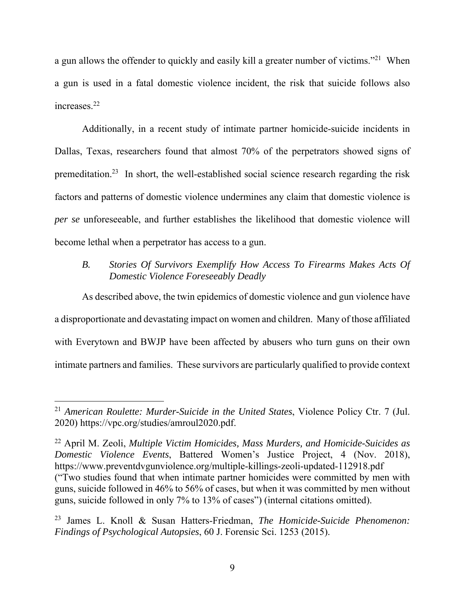a gun allows the offender to quickly and easily kill a greater number of victims."21 When a gun is used in a fatal domestic violence incident, the risk that suicide follows also increases.22

Additionally, in a recent study of intimate partner homicide-suicide incidents in Dallas, Texas, researchers found that almost 70% of the perpetrators showed signs of premeditation.23 In short, the well-established social science research regarding the risk factors and patterns of domestic violence undermines any claim that domestic violence is *per se* unforeseeable, and further establishes the likelihood that domestic violence will become lethal when a perpetrator has access to a gun.

### *B. Stories Of Survivors Exemplify How Access To Firearms Makes Acts Of Domestic Violence Foreseeably Deadly*

As described above, the twin epidemics of domestic violence and gun violence have a disproportionate and devastating impact on women and children. Many of those affiliated with Everytown and BWJP have been affected by abusers who turn guns on their own intimate partners and families. These survivors are particularly qualified to provide context

<sup>21</sup> *American Roulette: Murder-Suicide in the United States*, Violence Policy Ctr. 7 (Jul. 2020) https://vpc.org/studies/amroul2020.pdf.

<sup>22</sup> April M. Zeoli, *Multiple Victim Homicides, Mass Murders, and Homicide-Suicides as Domestic Violence Events*, Battered Women's Justice Project, 4 (Nov. 2018), https://www.preventdvgunviolence.org/multiple-killings-zeoli-updated-112918.pdf ("Two studies found that when intimate partner homicides were committed by men with guns, suicide followed in 46% to 56% of cases, but when it was committed by men without guns, suicide followed in only 7% to 13% of cases") (internal citations omitted).

<sup>23</sup> James L. Knoll & Susan Hatters-Friedman, *The Homicide-Suicide Phenomenon: Findings of Psychological Autopsies*, 60 J. Forensic Sci. 1253 (2015).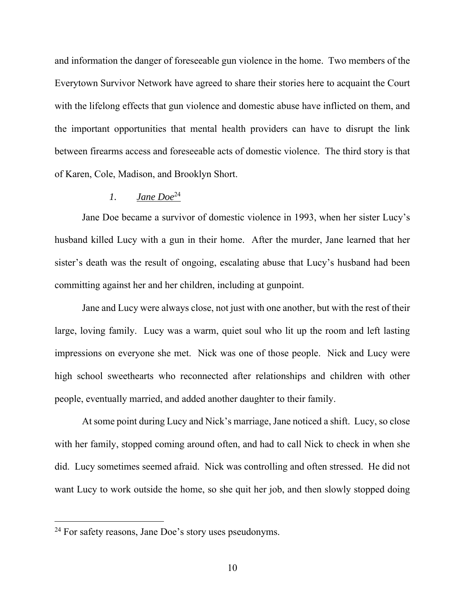and information the danger of foreseeable gun violence in the home. Two members of the Everytown Survivor Network have agreed to share their stories here to acquaint the Court with the lifelong effects that gun violence and domestic abuse have inflicted on them, and the important opportunities that mental health providers can have to disrupt the link between firearms access and foreseeable acts of domestic violence. The third story is that of Karen, Cole, Madison, and Brooklyn Short.

#### *1. Jane Doe*<sup>24</sup>

Jane Doe became a survivor of domestic violence in 1993, when her sister Lucy's husband killed Lucy with a gun in their home. After the murder, Jane learned that her sister's death was the result of ongoing, escalating abuse that Lucy's husband had been committing against her and her children, including at gunpoint.

Jane and Lucy were always close, not just with one another, but with the rest of their large, loving family. Lucy was a warm, quiet soul who lit up the room and left lasting impressions on everyone she met. Nick was one of those people. Nick and Lucy were high school sweethearts who reconnected after relationships and children with other people, eventually married, and added another daughter to their family.

At some point during Lucy and Nick's marriage, Jane noticed a shift. Lucy, so close with her family, stopped coming around often, and had to call Nick to check in when she did. Lucy sometimes seemed afraid. Nick was controlling and often stressed. He did not want Lucy to work outside the home, so she quit her job, and then slowly stopped doing

<sup>&</sup>lt;sup>24</sup> For safety reasons, Jane Doe's story uses pseudonyms.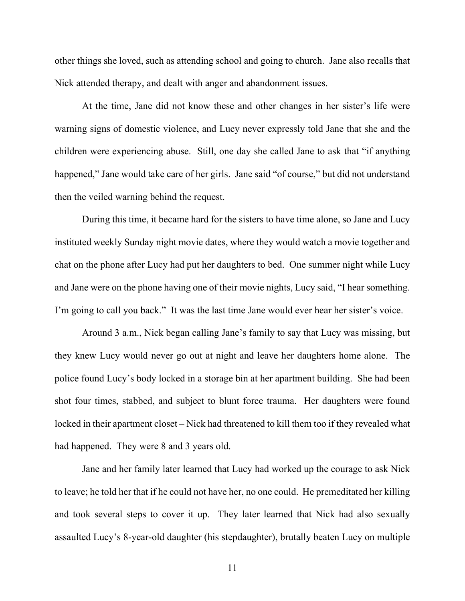other things she loved, such as attending school and going to church. Jane also recalls that Nick attended therapy, and dealt with anger and abandonment issues.

At the time, Jane did not know these and other changes in her sister's life were warning signs of domestic violence, and Lucy never expressly told Jane that she and the children were experiencing abuse. Still, one day she called Jane to ask that "if anything happened," Jane would take care of her girls. Jane said "of course," but did not understand then the veiled warning behind the request.

During this time, it became hard for the sisters to have time alone, so Jane and Lucy instituted weekly Sunday night movie dates, where they would watch a movie together and chat on the phone after Lucy had put her daughters to bed. One summer night while Lucy and Jane were on the phone having one of their movie nights, Lucy said, "I hear something. I'm going to call you back." It was the last time Jane would ever hear her sister's voice.

Around 3 a.m., Nick began calling Jane's family to say that Lucy was missing, but they knew Lucy would never go out at night and leave her daughters home alone. The police found Lucy's body locked in a storage bin at her apartment building. She had been shot four times, stabbed, and subject to blunt force trauma. Her daughters were found locked in their apartment closet – Nick had threatened to kill them too if they revealed what had happened. They were 8 and 3 years old.

Jane and her family later learned that Lucy had worked up the courage to ask Nick to leave; he told her that if he could not have her, no one could. He premeditated her killing and took several steps to cover it up. They later learned that Nick had also sexually assaulted Lucy's 8-year-old daughter (his stepdaughter), brutally beaten Lucy on multiple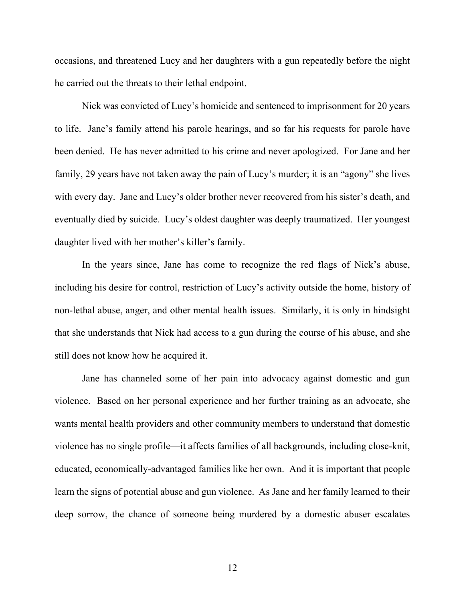occasions, and threatened Lucy and her daughters with a gun repeatedly before the night he carried out the threats to their lethal endpoint.

Nick was convicted of Lucy's homicide and sentenced to imprisonment for 20 years to life. Jane's family attend his parole hearings, and so far his requests for parole have been denied. He has never admitted to his crime and never apologized. For Jane and her family, 29 years have not taken away the pain of Lucy's murder; it is an "agony" she lives with every day. Jane and Lucy's older brother never recovered from his sister's death, and eventually died by suicide. Lucy's oldest daughter was deeply traumatized. Her youngest daughter lived with her mother's killer's family.

In the years since, Jane has come to recognize the red flags of Nick's abuse, including his desire for control, restriction of Lucy's activity outside the home, history of non-lethal abuse, anger, and other mental health issues. Similarly, it is only in hindsight that she understands that Nick had access to a gun during the course of his abuse, and she still does not know how he acquired it.

Jane has channeled some of her pain into advocacy against domestic and gun violence. Based on her personal experience and her further training as an advocate, she wants mental health providers and other community members to understand that domestic violence has no single profile—it affects families of all backgrounds, including close-knit, educated, economically-advantaged families like her own. And it is important that people learn the signs of potential abuse and gun violence. As Jane and her family learned to their deep sorrow, the chance of someone being murdered by a domestic abuser escalates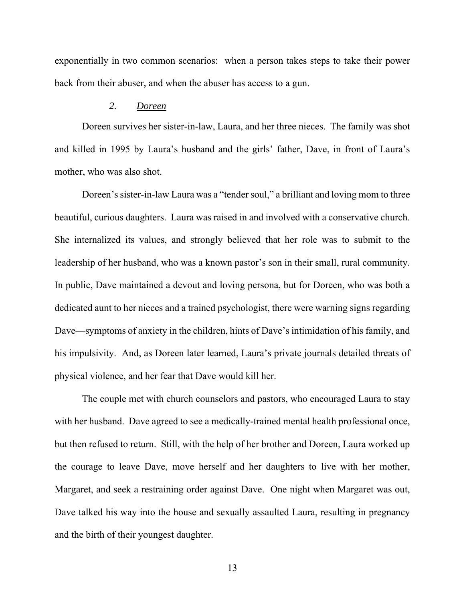exponentially in two common scenarios: when a person takes steps to take their power back from their abuser, and when the abuser has access to a gun.

#### *2. Doreen*

Doreen survives her sister-in-law, Laura, and her three nieces. The family was shot and killed in 1995 by Laura's husband and the girls' father, Dave, in front of Laura's mother, who was also shot.

Doreen's sister-in-law Laura was a "tender soul," a brilliant and loving mom to three beautiful, curious daughters. Laura was raised in and involved with a conservative church. She internalized its values, and strongly believed that her role was to submit to the leadership of her husband, who was a known pastor's son in their small, rural community. In public, Dave maintained a devout and loving persona, but for Doreen, who was both a dedicated aunt to her nieces and a trained psychologist, there were warning signs regarding Dave—symptoms of anxiety in the children, hints of Dave's intimidation of his family, and his impulsivity. And, as Doreen later learned, Laura's private journals detailed threats of physical violence, and her fear that Dave would kill her.

The couple met with church counselors and pastors, who encouraged Laura to stay with her husband. Dave agreed to see a medically-trained mental health professional once, but then refused to return. Still, with the help of her brother and Doreen, Laura worked up the courage to leave Dave, move herself and her daughters to live with her mother, Margaret, and seek a restraining order against Dave. One night when Margaret was out, Dave talked his way into the house and sexually assaulted Laura, resulting in pregnancy and the birth of their youngest daughter.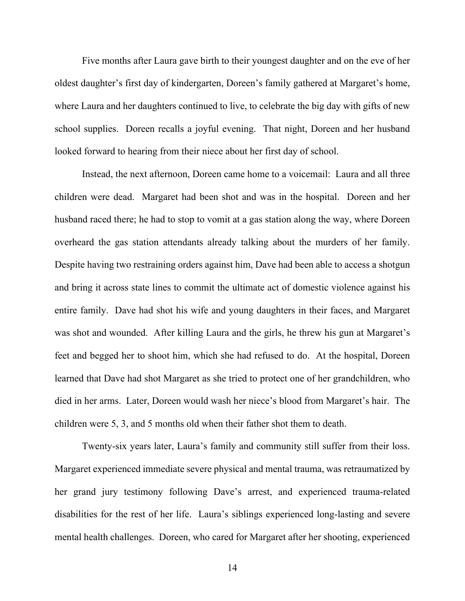Five months after Laura gave birth to their youngest daughter and on the eve of her oldest daughter's first day of kindergarten, Doreen's family gathered at Margaret's home, where Laura and her daughters continued to live, to celebrate the big day with gifts of new school supplies. Doreen recalls a joyful evening. That night, Doreen and her husband looked forward to hearing from their niece about her first day of school.

Instead, the next afternoon, Doreen came home to a voicemail: Laura and all three children were dead. Margaret had been shot and was in the hospital. Doreen and her husband raced there; he had to stop to vomit at a gas station along the way, where Doreen overheard the gas station attendants already talking about the murders of her family. Despite having two restraining orders against him, Dave had been able to access a shotgun and bring it across state lines to commit the ultimate act of domestic violence against his entire family. Dave had shot his wife and young daughters in their faces, and Margaret was shot and wounded. After killing Laura and the girls, he threw his gun at Margaret's feet and begged her to shoot him, which she had refused to do. At the hospital, Doreen learned that Dave had shot Margaret as she tried to protect one of her grandchildren, who died in her arms. Later, Doreen would wash her niece's blood from Margaret's hair. The children were 5, 3, and 5 months old when their father shot them to death.

Twenty-six years later, Laura's family and community still suffer from their loss. Margaret experienced immediate severe physical and mental trauma, was retraumatized by her grand jury testimony following Dave's arrest, and experienced trauma-related disabilities for the rest of her life. Laura's siblings experienced long-lasting and severe mental health challenges. Doreen, who cared for Margaret after her shooting, experienced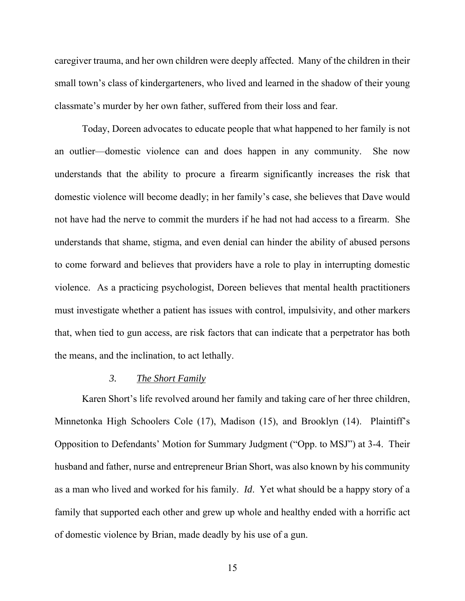caregiver trauma, and her own children were deeply affected. Many of the children in their small town's class of kindergarteners, who lived and learned in the shadow of their young classmate's murder by her own father, suffered from their loss and fear.

Today, Doreen advocates to educate people that what happened to her family is not an outlier—domestic violence can and does happen in any community. She now understands that the ability to procure a firearm significantly increases the risk that domestic violence will become deadly; in her family's case, she believes that Dave would not have had the nerve to commit the murders if he had not had access to a firearm. She understands that shame, stigma, and even denial can hinder the ability of abused persons to come forward and believes that providers have a role to play in interrupting domestic violence. As a practicing psychologist, Doreen believes that mental health practitioners must investigate whether a patient has issues with control, impulsivity, and other markers that, when tied to gun access, are risk factors that can indicate that a perpetrator has both the means, and the inclination, to act lethally.

#### *3. The Short Family*

Karen Short's life revolved around her family and taking care of her three children, Minnetonka High Schoolers Cole (17), Madison (15), and Brooklyn (14). Plaintiff's Opposition to Defendants' Motion for Summary Judgment ("Opp. to MSJ") at 3-4. Their husband and father, nurse and entrepreneur Brian Short, was also known by his community as a man who lived and worked for his family. *Id*. Yet what should be a happy story of a family that supported each other and grew up whole and healthy ended with a horrific act of domestic violence by Brian, made deadly by his use of a gun.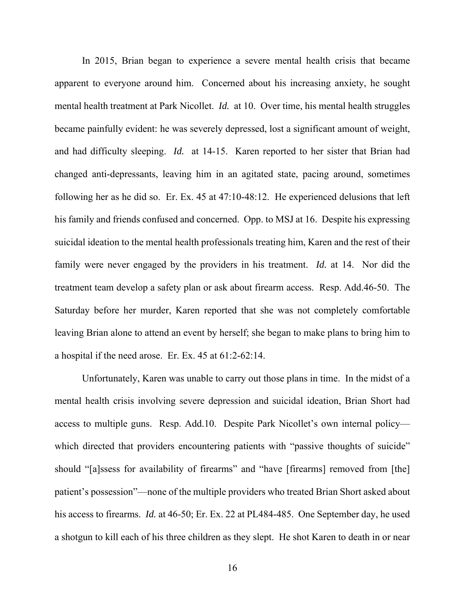In 2015, Brian began to experience a severe mental health crisis that became apparent to everyone around him. Concerned about his increasing anxiety, he sought mental health treatment at Park Nicollet. *Id.* at 10. Over time, his mental health struggles became painfully evident: he was severely depressed, lost a significant amount of weight, and had difficulty sleeping. *Id.* at 14-15. Karen reported to her sister that Brian had changed anti-depressants, leaving him in an agitated state, pacing around, sometimes following her as he did so. Er. Ex. 45 at 47:10-48:12. He experienced delusions that left his family and friends confused and concerned. Opp. to MSJ at 16. Despite his expressing suicidal ideation to the mental health professionals treating him, Karen and the rest of their family were never engaged by the providers in his treatment. *Id.* at 14. Nor did the treatment team develop a safety plan or ask about firearm access. Resp. Add.46-50. The Saturday before her murder, Karen reported that she was not completely comfortable leaving Brian alone to attend an event by herself; she began to make plans to bring him to a hospital if the need arose. Er. Ex. 45 at 61:2-62:14.

Unfortunately, Karen was unable to carry out those plans in time. In the midst of a mental health crisis involving severe depression and suicidal ideation, Brian Short had access to multiple guns. Resp. Add.10. Despite Park Nicollet's own internal policy which directed that providers encountering patients with "passive thoughts of suicide" should "[a]ssess for availability of firearms" and "have [firearms] removed from [the] patient's possession"—none of the multiple providers who treated Brian Short asked about his access to firearms. *Id.* at 46-50; Er. Ex. 22 at PL484-485. One September day, he used a shotgun to kill each of his three children as they slept. He shot Karen to death in or near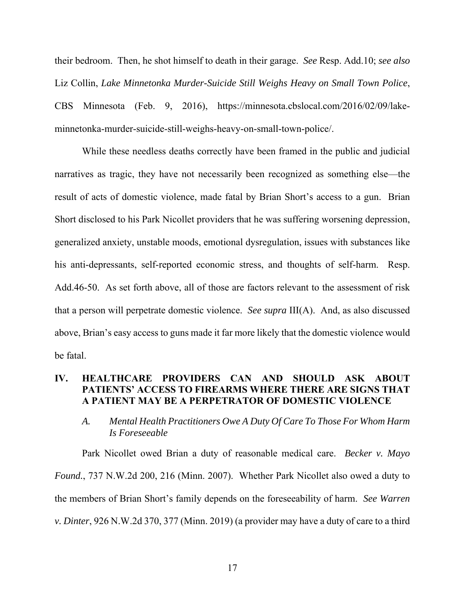their bedroom. Then, he shot himself to death in their garage. *See* Resp. Add.10; *see also*  Liz Collin, *Lake Minnetonka Murder-Suicide Still Weighs Heavy on Small Town Police*, CBS Minnesota (Feb. 9, 2016), https://minnesota.cbslocal.com/2016/02/09/lakeminnetonka-murder-suicide-still-weighs-heavy-on-small-town-police/.

While these needless deaths correctly have been framed in the public and judicial narratives as tragic, they have not necessarily been recognized as something else—the result of acts of domestic violence, made fatal by Brian Short's access to a gun. Brian Short disclosed to his Park Nicollet providers that he was suffering worsening depression, generalized anxiety, unstable moods, emotional dysregulation, issues with substances like his anti-depressants, self-reported economic stress, and thoughts of self-harm. Resp. Add.46-50. As set forth above, all of those are factors relevant to the assessment of risk that a person will perpetrate domestic violence. *See supra* III(A). And, as also discussed above, Brian's easy access to guns made it far more likely that the domestic violence would be fatal.

#### **IV. HEALTHCARE PROVIDERS CAN AND SHOULD ASK ABOUT PATIENTS' ACCESS TO FIREARMS WHERE THERE ARE SIGNS THAT A PATIENT MAY BE A PERPETRATOR OF DOMESTIC VIOLENCE**

### *A. Mental Health Practitioners Owe A Duty Of Care To Those For Whom Harm Is Foreseeable*

Park Nicollet owed Brian a duty of reasonable medical care. *Becker v. Mayo Found.*, 737 N.W.2d 200, 216 (Minn. 2007). Whether Park Nicollet also owed a duty to the members of Brian Short's family depends on the foreseeability of harm. *See Warren v. Dinter*, 926 N.W.2d 370, 377 (Minn. 2019) (a provider may have a duty of care to a third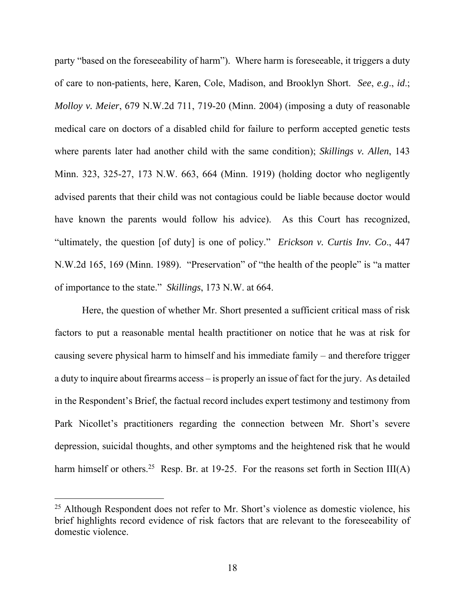party "based on the foreseeability of harm"). Where harm is foreseeable, it triggers a duty of care to non-patients, here, Karen, Cole, Madison, and Brooklyn Short. *See*, *e.g*., *id*.; *Molloy v. Meier*, 679 N.W.2d 711, 719-20 (Minn. 2004) (imposing a duty of reasonable medical care on doctors of a disabled child for failure to perform accepted genetic tests where parents later had another child with the same condition); *Skillings v. Allen*, 143 Minn. 323, 325-27, 173 N.W. 663, 664 (Minn. 1919) (holding doctor who negligently advised parents that their child was not contagious could be liable because doctor would have known the parents would follow his advice). As this Court has recognized, "ultimately, the question [of duty] is one of policy." *Erickson v. Curtis Inv. Co*., 447 N.W.2d 165, 169 (Minn. 1989). "Preservation" of "the health of the people" is "a matter of importance to the state." *Skillings*, 173 N.W. at 664.

Here, the question of whether Mr. Short presented a sufficient critical mass of risk factors to put a reasonable mental health practitioner on notice that he was at risk for causing severe physical harm to himself and his immediate family – and therefore trigger a duty to inquire about firearms access – is properly an issue of fact for the jury. As detailed in the Respondent's Brief, the factual record includes expert testimony and testimony from Park Nicollet's practitioners regarding the connection between Mr. Short's severe depression, suicidal thoughts, and other symptoms and the heightened risk that he would harm himself or others.<sup>25</sup> Resp. Br. at 19-25. For the reasons set forth in Section III(A)

<sup>&</sup>lt;sup>25</sup> Although Respondent does not refer to Mr. Short's violence as domestic violence, his brief highlights record evidence of risk factors that are relevant to the foreseeability of domestic violence.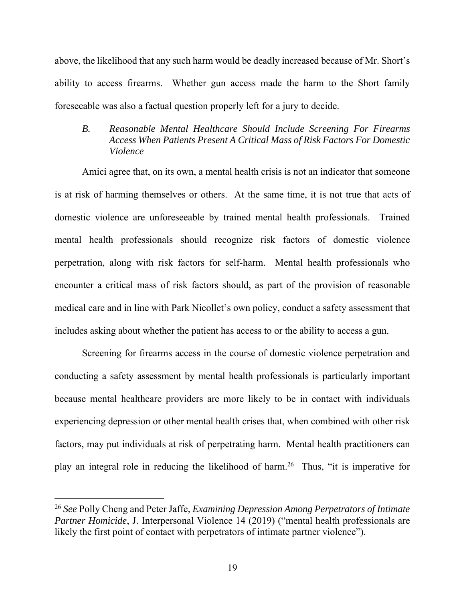above, the likelihood that any such harm would be deadly increased because of Mr. Short's ability to access firearms. Whether gun access made the harm to the Short family foreseeable was also a factual question properly left for a jury to decide.

#### *B. Reasonable Mental Healthcare Should Include Screening For Firearms Access When Patients Present A Critical Mass of Risk Factors For Domestic Violence*

Amici agree that, on its own, a mental health crisis is not an indicator that someone is at risk of harming themselves or others. At the same time, it is not true that acts of domestic violence are unforeseeable by trained mental health professionals. Trained mental health professionals should recognize risk factors of domestic violence perpetration, along with risk factors for self-harm. Mental health professionals who encounter a critical mass of risk factors should, as part of the provision of reasonable medical care and in line with Park Nicollet's own policy, conduct a safety assessment that includes asking about whether the patient has access to or the ability to access a gun.

Screening for firearms access in the course of domestic violence perpetration and conducting a safety assessment by mental health professionals is particularly important because mental healthcare providers are more likely to be in contact with individuals experiencing depression or other mental health crises that, when combined with other risk factors, may put individuals at risk of perpetrating harm. Mental health practitioners can play an integral role in reducing the likelihood of harm.26 Thus, "it is imperative for

<sup>26</sup> *See* Polly Cheng and Peter Jaffe, *Examining Depression Among Perpetrators of Intimate Partner Homicide*, J. Interpersonal Violence 14 (2019) ("mental health professionals are likely the first point of contact with perpetrators of intimate partner violence").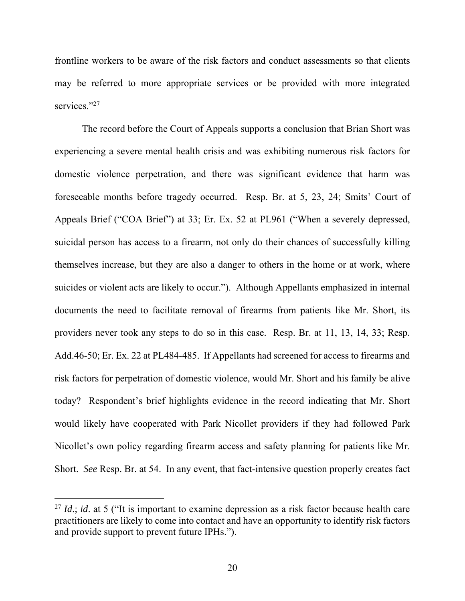frontline workers to be aware of the risk factors and conduct assessments so that clients may be referred to more appropriate services or be provided with more integrated services."27

The record before the Court of Appeals supports a conclusion that Brian Short was experiencing a severe mental health crisis and was exhibiting numerous risk factors for domestic violence perpetration, and there was significant evidence that harm was foreseeable months before tragedy occurred. Resp. Br. at 5, 23, 24; Smits' Court of Appeals Brief ("COA Brief") at 33; Er. Ex. 52 at PL961 ("When a severely depressed, suicidal person has access to a firearm, not only do their chances of successfully killing themselves increase, but they are also a danger to others in the home or at work, where suicides or violent acts are likely to occur."). Although Appellants emphasized in internal documents the need to facilitate removal of firearms from patients like Mr. Short, its providers never took any steps to do so in this case. Resp. Br. at 11, 13, 14, 33; Resp. Add.46-50; Er. Ex. 22 at PL484-485. If Appellants had screened for access to firearms and risk factors for perpetration of domestic violence, would Mr. Short and his family be alive today? Respondent's brief highlights evidence in the record indicating that Mr. Short would likely have cooperated with Park Nicollet providers if they had followed Park Nicollet's own policy regarding firearm access and safety planning for patients like Mr. Short. *See* Resp. Br. at 54. In any event, that fact-intensive question properly creates fact

<sup>&</sup>lt;sup>27</sup> *Id.*; *id.* at 5 ("It is important to examine depression as a risk factor because health care practitioners are likely to come into contact and have an opportunity to identify risk factors and provide support to prevent future IPHs.").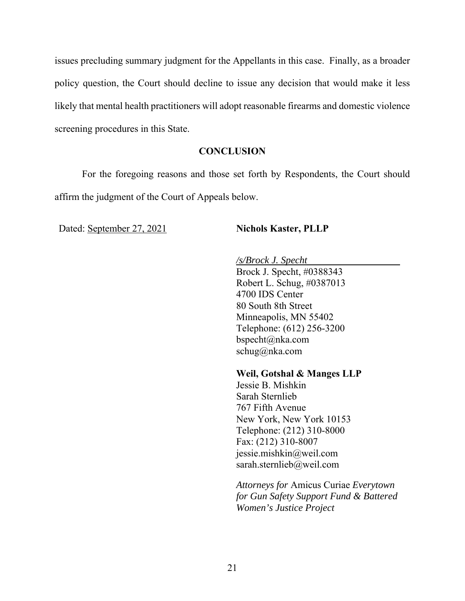issues precluding summary judgment for the Appellants in this case. Finally, as a broader policy question, the Court should decline to issue any decision that would make it less likely that mental health practitioners will adopt reasonable firearms and domestic violence screening procedures in this State.

#### **CONCLUSION**

 For the foregoing reasons and those set forth by Respondents, the Court should affirm the judgment of the Court of Appeals below.

Dated: September 27, 2021 **Nichols Kaster, PLLP** 

*/s/Brock J. Specht* 

Brock J. Specht, #0388343 Robert L. Schug, #0387013 4700 IDS Center 80 South 8th Street Minneapolis, MN 55402 Telephone: (612) 256-3200 bspecht@nka.com schug@nka.com

**Weil, Gotshal & Manges LLP** 

Jessie B. Mishkin Sarah Sternlieb 767 Fifth Avenue New York, New York 10153 Telephone: (212) 310-8000 Fax: (212) 310-8007 jessie.mishkin@weil.com sarah.sternlieb@weil.com

*Attorneys for* Amicus Curiae *Everytown for Gun Safety Support Fund & Battered Women's Justice Project*